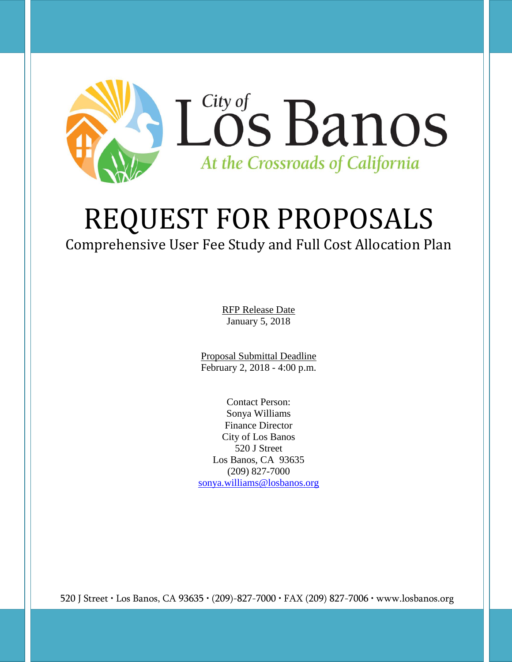

# REQUEST FOR PROPOSALS

Comprehensive User Fee Study and Full Cost Allocation Plan

RFP Release Date January 5, 2018

Proposal Submittal Deadline February 2, 2018 - 4:00 p.m.

Contact Person: Sonya Williams Finance Director City of Los Banos 520 J Street Los Banos, CA 93635 (209) 827-7000 [sonya.williams@losbanos.org](mailto:sonya.williams@losbanos.org)

520 J Street • Los Banos, CA 93635 • (209)-827-7000 • FAX (209) 827-7006 • www.losbanos.org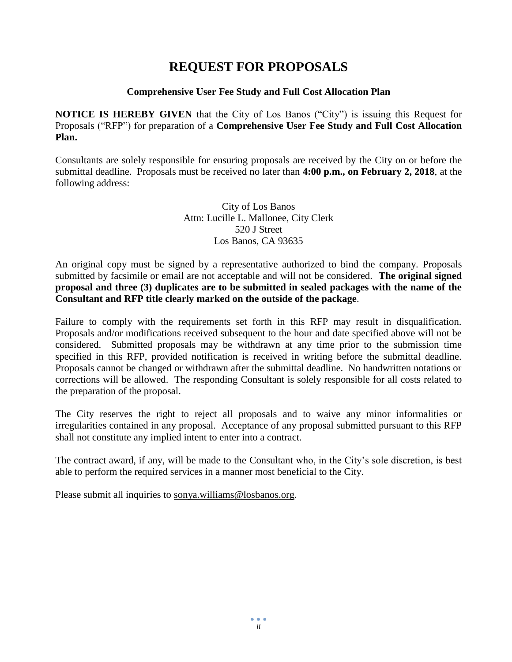## **REQUEST FOR PROPOSALS**

#### **Comprehensive User Fee Study and Full Cost Allocation Plan**

**NOTICE IS HEREBY GIVEN** that the City of Los Banos ("City") is issuing this Request for Proposals ("RFP") for preparation of a **Comprehensive User Fee Study and Full Cost Allocation Plan.**

Consultants are solely responsible for ensuring proposals are received by the City on or before the submittal deadline. Proposals must be received no later than **4:00 p.m., on February 2, 2018**, at the following address:

> City of Los Banos Attn: Lucille L. Mallonee, City Clerk 520 J Street Los Banos, CA 93635

An original copy must be signed by a representative authorized to bind the company. Proposals submitted by facsimile or email are not acceptable and will not be considered. **The original signed proposal and three (3) duplicates are to be submitted in sealed packages with the name of the Consultant and RFP title clearly marked on the outside of the package**.

Failure to comply with the requirements set forth in this RFP may result in disqualification. Proposals and/or modifications received subsequent to the hour and date specified above will not be considered. Submitted proposals may be withdrawn at any time prior to the submission time specified in this RFP, provided notification is received in writing before the submittal deadline. Proposals cannot be changed or withdrawn after the submittal deadline. No handwritten notations or corrections will be allowed. The responding Consultant is solely responsible for all costs related to the preparation of the proposal.

The City reserves the right to reject all proposals and to waive any minor informalities or irregularities contained in any proposal. Acceptance of any proposal submitted pursuant to this RFP shall not constitute any implied intent to enter into a contract.

The contract award, if any, will be made to the Consultant who, in the City's sole discretion, is best able to perform the required services in a manner most beneficial to the City.

Please submit all inquiries to [sonya.williams@losbanos.org.](mailto:sonya.williams@losbanos.org)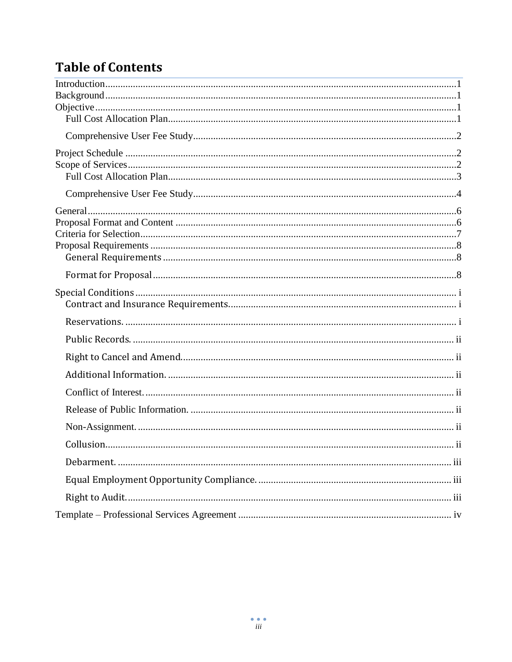# **Table of Contents**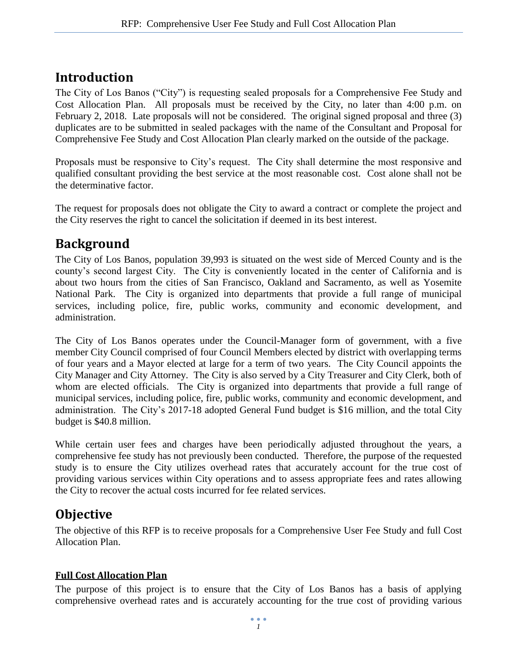## <span id="page-3-0"></span>**Introduction**

The City of Los Banos ("City") is requesting sealed proposals for a Comprehensive Fee Study and Cost Allocation Plan. All proposals must be received by the City, no later than 4:00 p.m. on February 2, 2018. Late proposals will not be considered. The original signed proposal and three (3) duplicates are to be submitted in sealed packages with the name of the Consultant and Proposal for Comprehensive Fee Study and Cost Allocation Plan clearly marked on the outside of the package.

Proposals must be responsive to City's request. The City shall determine the most responsive and qualified consultant providing the best service at the most reasonable cost. Cost alone shall not be the determinative factor.

The request for proposals does not obligate the City to award a contract or complete the project and the City reserves the right to cancel the solicitation if deemed in its best interest.

# <span id="page-3-1"></span>**Background**

The City of Los Banos, population 39,993 is situated on the west side of Merced County and is the county's second largest City. The City is conveniently located in the center of California and is about two hours from the cities of San Francisco, Oakland and Sacramento, as well as Yosemite National Park. The City is organized into departments that provide a full range of municipal services, including police, fire, public works, community and economic development, and administration.

The City of Los Banos operates under the Council-Manager form of government, with a five member City Council comprised of four Council Members elected by district with overlapping terms of four years and a Mayor elected at large for a term of two years. The City Council appoints the City Manager and City Attorney. The City is also served by a City Treasurer and City Clerk, both of whom are elected officials. The City is organized into departments that provide a full range of municipal services, including police, fire, public works, community and economic development, and administration. The City's 2017-18 adopted General Fund budget is \$16 million, and the total City budget is \$40.8 million.

While certain user fees and charges have been periodically adjusted throughout the years, a comprehensive fee study has not previously been conducted. Therefore, the purpose of the requested study is to ensure the City utilizes overhead rates that accurately account for the true cost of providing various services within City operations and to assess appropriate fees and rates allowing the City to recover the actual costs incurred for fee related services.

## <span id="page-3-2"></span>**Objective**

The objective of this RFP is to receive proposals for a Comprehensive User Fee Study and full Cost Allocation Plan.

## <span id="page-3-3"></span>**Full Cost Allocation Plan**

The purpose of this project is to ensure that the City of Los Banos has a basis of applying comprehensive overhead rates and is accurately accounting for the true cost of providing various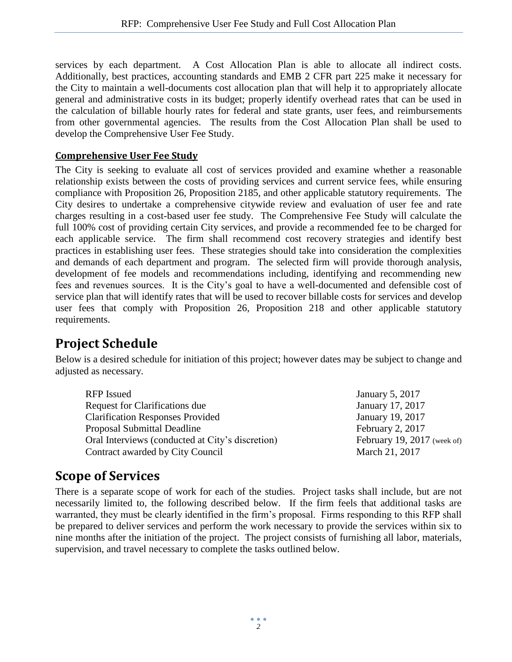services by each department. A Cost Allocation Plan is able to allocate all indirect costs. Additionally, best practices, accounting standards and EMB 2 CFR part 225 make it necessary for the City to maintain a well-documents cost allocation plan that will help it to appropriately allocate general and administrative costs in its budget; properly identify overhead rates that can be used in the calculation of billable hourly rates for federal and state grants, user fees, and reimbursements from other governmental agencies. The results from the Cost Allocation Plan shall be used to develop the Comprehensive User Fee Study.

#### <span id="page-4-0"></span>**Comprehensive User Fee Study**

The City is seeking to evaluate all cost of services provided and examine whether a reasonable relationship exists between the costs of providing services and current service fees, while ensuring compliance with Proposition 26, Proposition 2185, and other applicable statutory requirements. The City desires to undertake a comprehensive citywide review and evaluation of user fee and rate charges resulting in a cost-based user fee study. The Comprehensive Fee Study will calculate the full 100% cost of providing certain City services, and provide a recommended fee to be charged for each applicable service. The firm shall recommend cost recovery strategies and identify best practices in establishing user fees. These strategies should take into consideration the complexities and demands of each department and program. The selected firm will provide thorough analysis, development of fee models and recommendations including, identifying and recommending new fees and revenues sources. It is the City's goal to have a well-documented and defensible cost of service plan that will identify rates that will be used to recover billable costs for services and develop user fees that comply with Proposition 26, Proposition 218 and other applicable statutory requirements.

## <span id="page-4-1"></span>**Project Schedule**

Below is a desired schedule for initiation of this project; however dates may be subject to change and adjusted as necessary.

| RFP Issued                                       | January 5, 2017             |
|--------------------------------------------------|-----------------------------|
| Request for Clarifications due                   | January 17, 2017            |
| <b>Clarification Responses Provided</b>          | January 19, 2017            |
| Proposal Submittal Deadline                      | February 2, 2017            |
| Oral Interviews (conducted at City's discretion) | February 19, 2017 (week of) |
| Contract awarded by City Council                 | March 21, 2017              |

## <span id="page-4-2"></span>**Scope of Services**

There is a separate scope of work for each of the studies. Project tasks shall include, but are not necessarily limited to, the following described below. If the firm feels that additional tasks are warranted, they must be clearly identified in the firm's proposal. Firms responding to this RFP shall be prepared to deliver services and perform the work necessary to provide the services within six to nine months after the initiation of the project. The project consists of furnishing all labor, materials, supervision, and travel necessary to complete the tasks outlined below.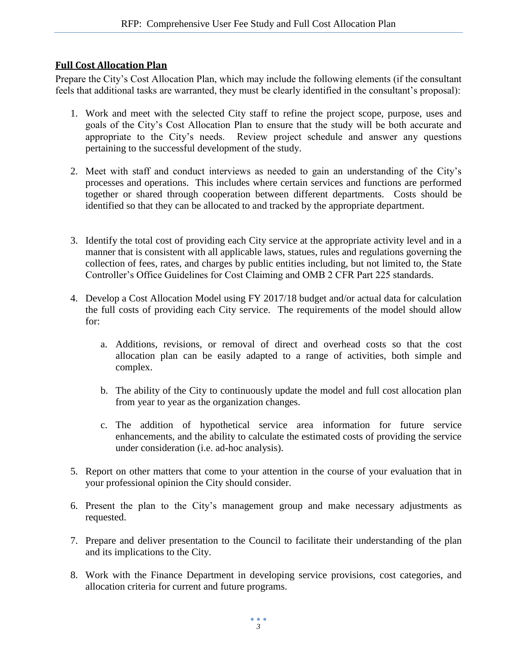#### <span id="page-5-0"></span>**Full Cost Allocation Plan**

Prepare the City's Cost Allocation Plan, which may include the following elements (if the consultant feels that additional tasks are warranted, they must be clearly identified in the consultant's proposal):

- 1. Work and meet with the selected City staff to refine the project scope, purpose, uses and goals of the City's Cost Allocation Plan to ensure that the study will be both accurate and appropriate to the City's needs. Review project schedule and answer any questions pertaining to the successful development of the study.
- 2. Meet with staff and conduct interviews as needed to gain an understanding of the City's processes and operations. This includes where certain services and functions are performed together or shared through cooperation between different departments. Costs should be identified so that they can be allocated to and tracked by the appropriate department.
- 3. Identify the total cost of providing each City service at the appropriate activity level and in a manner that is consistent with all applicable laws, statues, rules and regulations governing the collection of fees, rates, and charges by public entities including, but not limited to, the State Controller's Office Guidelines for Cost Claiming and OMB 2 CFR Part 225 standards.
- 4. Develop a Cost Allocation Model using FY 2017/18 budget and/or actual data for calculation the full costs of providing each City service. The requirements of the model should allow for:
	- a. Additions, revisions, or removal of direct and overhead costs so that the cost allocation plan can be easily adapted to a range of activities, both simple and complex.
	- b. The ability of the City to continuously update the model and full cost allocation plan from year to year as the organization changes.
	- c. The addition of hypothetical service area information for future service enhancements, and the ability to calculate the estimated costs of providing the service under consideration (i.e. ad-hoc analysis).
- 5. Report on other matters that come to your attention in the course of your evaluation that in your professional opinion the City should consider.
- 6. Present the plan to the City's management group and make necessary adjustments as requested.
- 7. Prepare and deliver presentation to the Council to facilitate their understanding of the plan and its implications to the City.
- 8. Work with the Finance Department in developing service provisions, cost categories, and allocation criteria for current and future programs.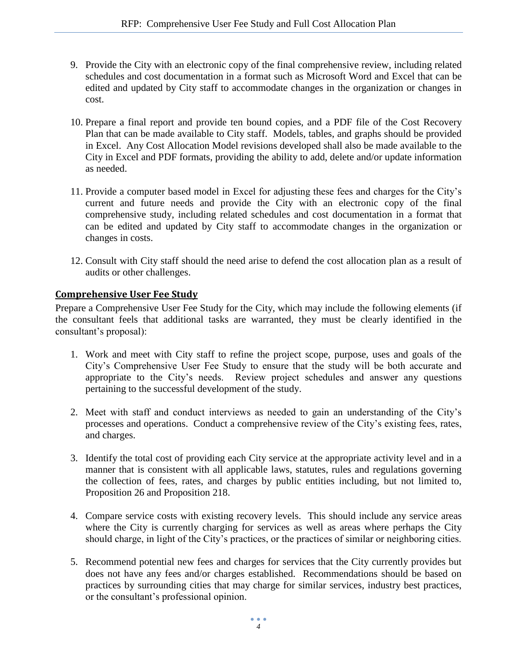- 9. Provide the City with an electronic copy of the final comprehensive review, including related schedules and cost documentation in a format such as Microsoft Word and Excel that can be edited and updated by City staff to accommodate changes in the organization or changes in cost.
- 10. Prepare a final report and provide ten bound copies, and a PDF file of the Cost Recovery Plan that can be made available to City staff. Models, tables, and graphs should be provided in Excel. Any Cost Allocation Model revisions developed shall also be made available to the City in Excel and PDF formats, providing the ability to add, delete and/or update information as needed.
- 11. Provide a computer based model in Excel for adjusting these fees and charges for the City's current and future needs and provide the City with an electronic copy of the final comprehensive study, including related schedules and cost documentation in a format that can be edited and updated by City staff to accommodate changes in the organization or changes in costs.
- 12. Consult with City staff should the need arise to defend the cost allocation plan as a result of audits or other challenges.

#### <span id="page-6-0"></span>**Comprehensive User Fee Study**

Prepare a Comprehensive User Fee Study for the City, which may include the following elements (if the consultant feels that additional tasks are warranted, they must be clearly identified in the consultant's proposal):

- 1. Work and meet with City staff to refine the project scope, purpose, uses and goals of the City's Comprehensive User Fee Study to ensure that the study will be both accurate and appropriate to the City's needs. Review project schedules and answer any questions pertaining to the successful development of the study.
- 2. Meet with staff and conduct interviews as needed to gain an understanding of the City's processes and operations. Conduct a comprehensive review of the City's existing fees, rates, and charges.
- 3. Identify the total cost of providing each City service at the appropriate activity level and in a manner that is consistent with all applicable laws, statutes, rules and regulations governing the collection of fees, rates, and charges by public entities including, but not limited to, Proposition 26 and Proposition 218.
- 4. Compare service costs with existing recovery levels. This should include any service areas where the City is currently charging for services as well as areas where perhaps the City should charge, in light of the City's practices, or the practices of similar or neighboring cities.
- 5. Recommend potential new fees and charges for services that the City currently provides but does not have any fees and/or charges established. Recommendations should be based on practices by surrounding cities that may charge for similar services, industry best practices, or the consultant's professional opinion.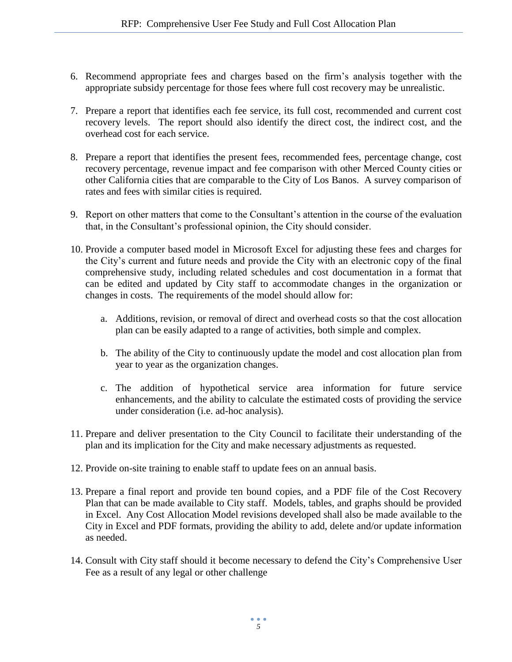- 6. Recommend appropriate fees and charges based on the firm's analysis together with the appropriate subsidy percentage for those fees where full cost recovery may be unrealistic.
- 7. Prepare a report that identifies each fee service, its full cost, recommended and current cost recovery levels. The report should also identify the direct cost, the indirect cost, and the overhead cost for each service.
- 8. Prepare a report that identifies the present fees, recommended fees, percentage change, cost recovery percentage, revenue impact and fee comparison with other Merced County cities or other California cities that are comparable to the City of Los Banos. A survey comparison of rates and fees with similar cities is required.
- 9. Report on other matters that come to the Consultant's attention in the course of the evaluation that, in the Consultant's professional opinion, the City should consider.
- 10. Provide a computer based model in Microsoft Excel for adjusting these fees and charges for the City's current and future needs and provide the City with an electronic copy of the final comprehensive study, including related schedules and cost documentation in a format that can be edited and updated by City staff to accommodate changes in the organization or changes in costs. The requirements of the model should allow for:
	- a. Additions, revision, or removal of direct and overhead costs so that the cost allocation plan can be easily adapted to a range of activities, both simple and complex.
	- b. The ability of the City to continuously update the model and cost allocation plan from year to year as the organization changes.
	- c. The addition of hypothetical service area information for future service enhancements, and the ability to calculate the estimated costs of providing the service under consideration (i.e. ad-hoc analysis).
- 11. Prepare and deliver presentation to the City Council to facilitate their understanding of the plan and its implication for the City and make necessary adjustments as requested.
- 12. Provide on-site training to enable staff to update fees on an annual basis.
- 13. Prepare a final report and provide ten bound copies, and a PDF file of the Cost Recovery Plan that can be made available to City staff. Models, tables, and graphs should be provided in Excel. Any Cost Allocation Model revisions developed shall also be made available to the City in Excel and PDF formats, providing the ability to add, delete and/or update information as needed.
- 14. Consult with City staff should it become necessary to defend the City's Comprehensive User Fee as a result of any legal or other challenge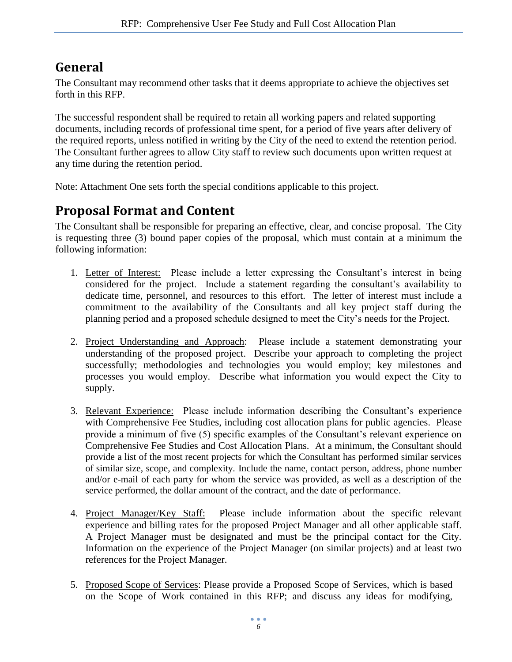# <span id="page-8-0"></span>**General**

The Consultant may recommend other tasks that it deems appropriate to achieve the objectives set forth in this RFP.

The successful respondent shall be required to retain all working papers and related supporting documents, including records of professional time spent, for a period of five years after delivery of the required reports, unless notified in writing by the City of the need to extend the retention period. The Consultant further agrees to allow City staff to review such documents upon written request at any time during the retention period.

Note: Attachment One sets forth the special conditions applicable to this project.

## <span id="page-8-1"></span>**Proposal Format and Content**

The Consultant shall be responsible for preparing an effective, clear, and concise proposal. The City is requesting three (3) bound paper copies of the proposal, which must contain at a minimum the following information:

- 1. Letter of Interest: Please include a letter expressing the Consultant's interest in being considered for the project. Include a statement regarding the consultant's availability to dedicate time, personnel, and resources to this effort. The letter of interest must include a commitment to the availability of the Consultants and all key project staff during the planning period and a proposed schedule designed to meet the City's needs for the Project.
- 2. Project Understanding and Approach: Please include a statement demonstrating your understanding of the proposed project. Describe your approach to completing the project successfully; methodologies and technologies you would employ; key milestones and processes you would employ. Describe what information you would expect the City to supply.
- 3. Relevant Experience: Please include information describing the Consultant's experience with Comprehensive Fee Studies, including cost allocation plans for public agencies. Please provide a minimum of five (5) specific examples of the Consultant's relevant experience on Comprehensive Fee Studies and Cost Allocation Plans. At a minimum, the Consultant should provide a list of the most recent projects for which the Consultant has performed similar services of similar size, scope, and complexity. Include the name, contact person, address, phone number and/or e-mail of each party for whom the service was provided, as well as a description of the service performed, the dollar amount of the contract, and the date of performance.
- 4. Project Manager/Key Staff: Please include information about the specific relevant experience and billing rates for the proposed Project Manager and all other applicable staff. A Project Manager must be designated and must be the principal contact for the City. Information on the experience of the Project Manager (on similar projects) and at least two references for the Project Manager.
- 5. Proposed Scope of Services: Please provide a Proposed Scope of Services, which is based on the Scope of Work contained in this RFP; and discuss any ideas for modifying,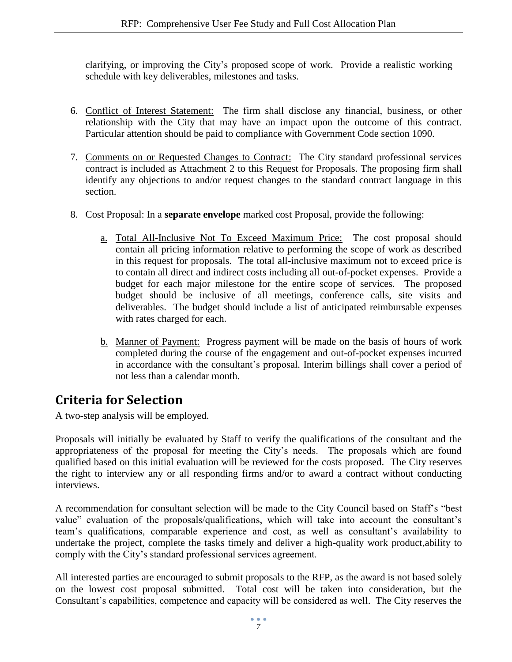clarifying, or improving the City's proposed scope of work. Provide a realistic working schedule with key deliverables, milestones and tasks.

- 6. Conflict of Interest Statement: The firm shall disclose any financial, business, or other relationship with the City that may have an impact upon the outcome of this contract. Particular attention should be paid to compliance with Government Code section 1090.
- 7. Comments on or Requested Changes to Contract: The City standard professional services contract is included as Attachment 2 to this Request for Proposals. The proposing firm shall identify any objections to and/or request changes to the standard contract language in this section.
- 8. Cost Proposal: In a **separate envelope** marked cost Proposal, provide the following:
	- a. Total All-Inclusive Not To Exceed Maximum Price: The cost proposal should contain all pricing information relative to performing the scope of work as described in this request for proposals. The total all-inclusive maximum not to exceed price is to contain all direct and indirect costs including all out-of-pocket expenses. Provide a budget for each major milestone for the entire scope of services. The proposed budget should be inclusive of all meetings, conference calls, site visits and deliverables. The budget should include a list of anticipated reimbursable expenses with rates charged for each.
	- b. Manner of Payment: Progress payment will be made on the basis of hours of work completed during the course of the engagement and out-of-pocket expenses incurred in accordance with the consultant's proposal. Interim billings shall cover a period of not less than a calendar month.

# <span id="page-9-0"></span>**Criteria for Selection**

A two-step analysis will be employed.

Proposals will initially be evaluated by Staff to verify the qualifications of the consultant and the appropriateness of the proposal for meeting the City's needs. The proposals which are found qualified based on this initial evaluation will be reviewed for the costs proposed. The City reserves the right to interview any or all responding firms and/or to award a contract without conducting interviews.

A recommendation for consultant selection will be made to the City Council based on Staff's "best value" evaluation of the proposals/qualifications, which will take into account the consultant's team's qualifications, comparable experience and cost, as well as consultant's availability to undertake the project, complete the tasks timely and deliver a high-quality work product,ability to comply with the City's standard professional services agreement.

All interested parties are encouraged to submit proposals to the RFP, as the award is not based solely on the lowest cost proposal submitted. Total cost will be taken into consideration, but the Consultant's capabilities, competence and capacity will be considered as well. The City reserves the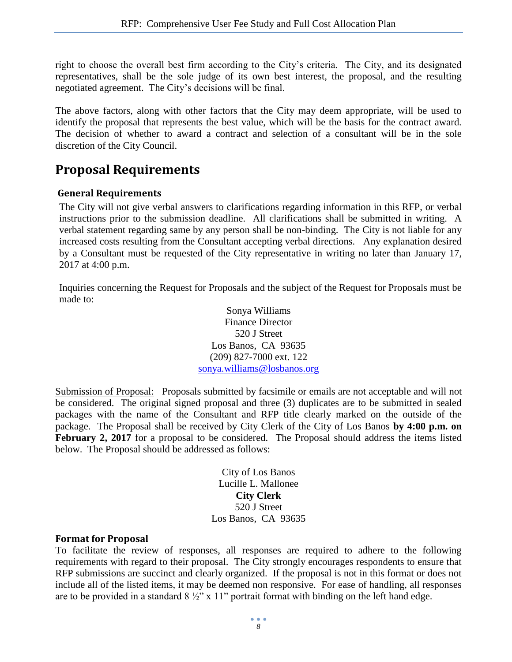right to choose the overall best firm according to the City's criteria. The City, and its designated representatives, shall be the sole judge of its own best interest, the proposal, and the resulting negotiated agreement. The City's decisions will be final.

The above factors, along with other factors that the City may deem appropriate, will be used to identify the proposal that represents the best value, which will be the basis for the contract award. The decision of whether to award a contract and selection of a consultant will be in the sole discretion of the City Council.

## <span id="page-10-0"></span>**Proposal Requirements**

#### <span id="page-10-1"></span>**General Requirements**

The City will not give verbal answers to clarifications regarding information in this RFP, or verbal instructions prior to the submission deadline. All clarifications shall be submitted in writing. A verbal statement regarding same by any person shall be non-binding. The City is not liable for any increased costs resulting from the Consultant accepting verbal directions. Any explanation desired by a Consultant must be requested of the City representative in writing no later than January 17, 2017 at 4:00 p.m.

Inquiries concerning the Request for Proposals and the subject of the Request for Proposals must be made to:

> Sonya Williams Finance Director 520 J Street Los Banos, CA 93635 (209) 827-7000 ext. 122 [sonya.williams@losbanos.org](mailto:sonya.williams@losbanos.org)

Submission of Proposal: Proposals submitted by facsimile or emails are not acceptable and will not be considered. The original signed proposal and three (3) duplicates are to be submitted in sealed packages with the name of the Consultant and RFP title clearly marked on the outside of the package. The Proposal shall be received by City Clerk of the City of Los Banos **by 4:00 p.m. on**  February 2, 2017 for a proposal to be considered. The Proposal should address the items listed below. The Proposal should be addressed as follows:

> City of Los Banos Lucille L. Mallonee **City Clerk** 520 J Street Los Banos, CA 93635

#### <span id="page-10-2"></span>**Format for Proposal**

To facilitate the review of responses, all responses are required to adhere to the following requirements with regard to their proposal. The City strongly encourages respondents to ensure that RFP submissions are succinct and clearly organized. If the proposal is not in this format or does not include all of the listed items, it may be deemed non responsive. For ease of handling, all responses are to be provided in a standard  $8\frac{1}{2}$ " x 11" portrait format with binding on the left hand edge.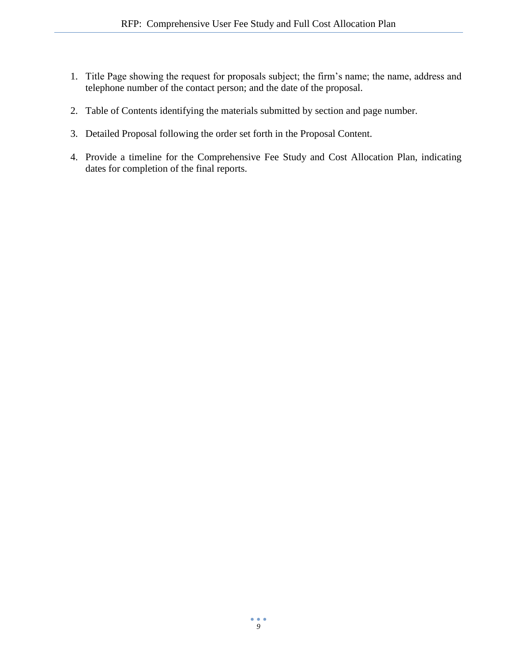- 1. Title Page showing the request for proposals subject; the firm's name; the name, address and telephone number of the contact person; and the date of the proposal.
- 2. Table of Contents identifying the materials submitted by section and page number.
- 3. Detailed Proposal following the order set forth in the Proposal Content.
- 4. Provide a timeline for the Comprehensive Fee Study and Cost Allocation Plan, indicating dates for completion of the final reports.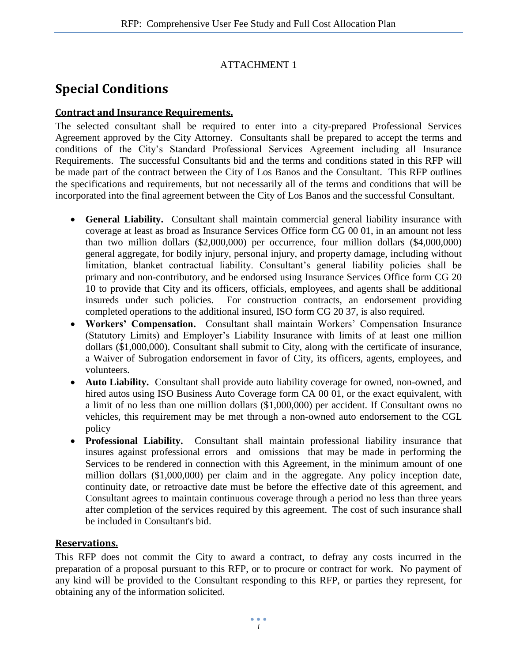### ATTACHMENT 1

# <span id="page-12-0"></span>**Special Conditions**

#### <span id="page-12-1"></span>**Contract and Insurance Requirements.**

The selected consultant shall be required to enter into a city-prepared Professional Services Agreement approved by the City Attorney. Consultants shall be prepared to accept the terms and conditions of the City's Standard Professional Services Agreement including all Insurance Requirements. The successful Consultants bid and the terms and conditions stated in this RFP will be made part of the contract between the City of Los Banos and the Consultant. This RFP outlines the specifications and requirements, but not necessarily all of the terms and conditions that will be incorporated into the final agreement between the City of Los Banos and the successful Consultant.

- **General Liability.** Consultant shall maintain commercial general liability insurance with coverage at least as broad as Insurance Services Office form CG 00 01, in an amount not less than two million dollars (\$2,000,000) per occurrence, four million dollars (\$4,000,000) general aggregate, for bodily injury, personal injury, and property damage, including without limitation, blanket contractual liability. Consultant's general liability policies shall be primary and non-contributory, and be endorsed using Insurance Services Office form CG 20 10 to provide that City and its officers, officials, employees, and agents shall be additional insureds under such policies. For construction contracts, an endorsement providing completed operations to the additional insured, ISO form CG 20 37, is also required.
- **Workers' Compensation.** Consultant shall maintain Workers' Compensation Insurance (Statutory Limits) and Employer's Liability Insurance with limits of at least one million dollars (\$1,000,000). Consultant shall submit to City, along with the certificate of insurance, a Waiver of Subrogation endorsement in favor of City, its officers, agents, employees, and volunteers.
- **Auto Liability.** Consultant shall provide auto liability coverage for owned, non-owned, and hired autos using ISO Business Auto Coverage form CA 00 01, or the exact equivalent, with a limit of no less than one million dollars (\$1,000,000) per accident. If Consultant owns no vehicles, this requirement may be met through a non-owned auto endorsement to the CGL policy
- **Professional Liability.** Consultant shall maintain professional liability insurance that insures against professional errors and omissions that may be made in performing the Services to be rendered in connection with this Agreement, in the minimum amount of one million dollars (\$1,000,000) per claim and in the aggregate. Any policy inception date, continuity date, or retroactive date must be before the effective date of this agreement, and Consultant agrees to maintain continuous coverage through a period no less than three years after completion of the services required by this agreement. The cost of such insurance shall be included in Consultant's bid.

#### <span id="page-12-2"></span>**Reservations.**

This RFP does not commit the City to award a contract, to defray any costs incurred in the preparation of a proposal pursuant to this RFP, or to procure or contract for work. No payment of any kind will be provided to the Consultant responding to this RFP, or parties they represent, for obtaining any of the information solicited.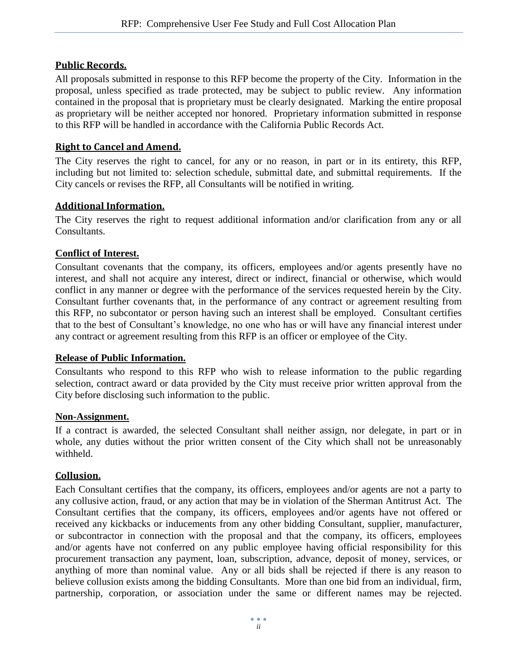#### <span id="page-13-0"></span>**Public Records.**

All proposals submitted in response to this RFP become the property of the City. Information in the proposal, unless specified as trade protected, may be subject to public review. Any information contained in the proposal that is proprietary must be clearly designated. Marking the entire proposal as proprietary will be neither accepted nor honored. Proprietary information submitted in response to this RFP will be handled in accordance with the California Public Records Act.

#### <span id="page-13-1"></span>**Right to Cancel and Amend.**

The City reserves the right to cancel, for any or no reason, in part or in its entirety, this RFP, including but not limited to: selection schedule, submittal date, and submittal requirements. If the City cancels or revises the RFP, all Consultants will be notified in writing.

#### <span id="page-13-2"></span>**Additional Information.**

The City reserves the right to request additional information and/or clarification from any or all Consultants.

#### <span id="page-13-3"></span>**Conflict of Interest.**

Consultant covenants that the company, its officers, employees and/or agents presently have no interest, and shall not acquire any interest, direct or indirect, financial or otherwise, which would conflict in any manner or degree with the performance of the services requested herein by the City. Consultant further covenants that, in the performance of any contract or agreement resulting from this RFP, no subcontator or person having such an interest shall be employed. Consultant certifies that to the best of Consultant's knowledge, no one who has or will have any financial interest under any contract or agreement resulting from this RFP is an officer or employee of the City.

#### <span id="page-13-4"></span>**Release of Public Information.**

Consultants who respond to this RFP who wish to release information to the public regarding selection, contract award or data provided by the City must receive prior written approval from the City before disclosing such information to the public.

#### <span id="page-13-5"></span>**Non-Assignment.**

If a contract is awarded, the selected Consultant shall neither assign, nor delegate, in part or in whole, any duties without the prior written consent of the City which shall not be unreasonably withheld.

#### <span id="page-13-6"></span>**Collusion.**

Each Consultant certifies that the company, its officers, employees and/or agents are not a party to any collusive action, fraud, or any action that may be in violation of the Sherman Antitrust Act. The Consultant certifies that the company, its officers, employees and/or agents have not offered or received any kickbacks or inducements from any other bidding Consultant, supplier, manufacturer, or subcontractor in connection with the proposal and that the company, its officers, employees and/or agents have not conferred on any public employee having official responsibility for this procurement transaction any payment, loan, subscription, advance, deposit of money, services, or anything of more than nominal value. Any or all bids shall be rejected if there is any reason to believe collusion exists among the bidding Consultants. More than one bid from an individual, firm, partnership, corporation, or association under the same or different names may be rejected.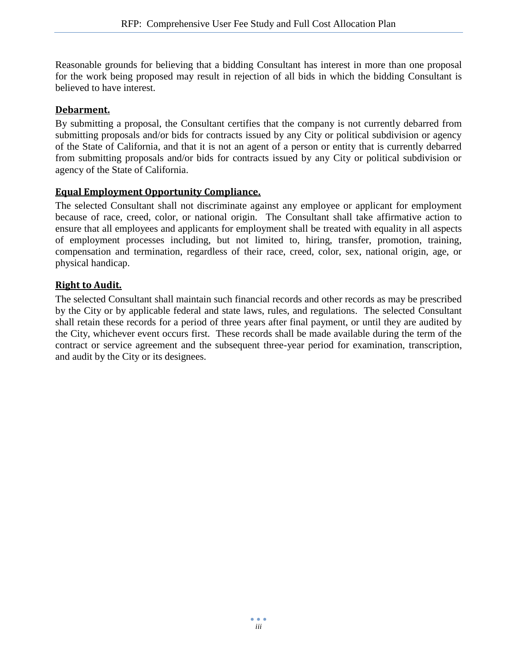Reasonable grounds for believing that a bidding Consultant has interest in more than one proposal for the work being proposed may result in rejection of all bids in which the bidding Consultant is believed to have interest.

#### <span id="page-14-0"></span>**Debarment.**

By submitting a proposal, the Consultant certifies that the company is not currently debarred from submitting proposals and/or bids for contracts issued by any City or political subdivision or agency of the State of California, and that it is not an agent of a person or entity that is currently debarred from submitting proposals and/or bids for contracts issued by any City or political subdivision or agency of the State of California.

#### <span id="page-14-1"></span>**Equal Employment Opportunity Compliance.**

The selected Consultant shall not discriminate against any employee or applicant for employment because of race, creed, color, or national origin. The Consultant shall take affirmative action to ensure that all employees and applicants for employment shall be treated with equality in all aspects of employment processes including, but not limited to, hiring, transfer, promotion, training, compensation and termination, regardless of their race, creed, color, sex, national origin, age, or physical handicap.

#### <span id="page-14-2"></span>**Right to Audit.**

The selected Consultant shall maintain such financial records and other records as may be prescribed by the City or by applicable federal and state laws, rules, and regulations. The selected Consultant shall retain these records for a period of three years after final payment, or until they are audited by the City, whichever event occurs first. These records shall be made available during the term of the contract or service agreement and the subsequent three-year period for examination, transcription, and audit by the City or its designees.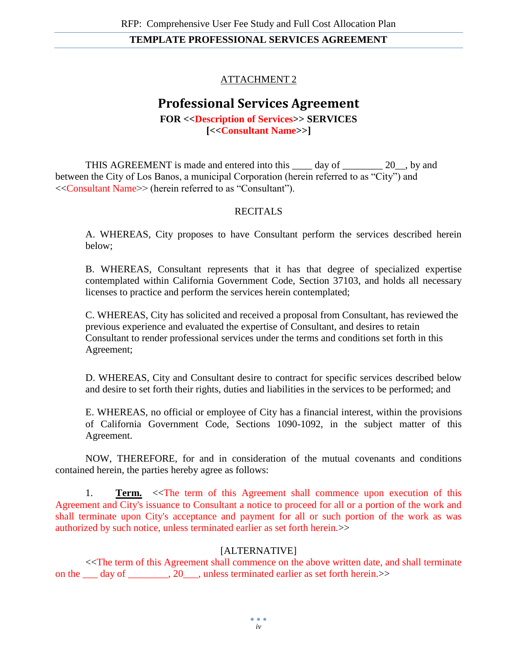#### ATTACHMENT 2

## **Professional Services Agreement**

**FOR <<Description of Services>> SERVICES [<<Consultant Name>>]**

<span id="page-15-0"></span>THIS AGREEMENT is made and entered into this day of 20, by and between the City of Los Banos, a municipal Corporation (herein referred to as "City") and <<Consultant Name>> (herein referred to as "Consultant").

#### **RECITALS**

A. WHEREAS, City proposes to have Consultant perform the services described herein below;

B. WHEREAS, Consultant represents that it has that degree of specialized expertise contemplated within California Government Code, Section 37103, and holds all necessary licenses to practice and perform the services herein contemplated;

C. WHEREAS, City has solicited and received a proposal from Consultant, has reviewed the previous experience and evaluated the expertise of Consultant, and desires to retain Consultant to render professional services under the terms and conditions set forth in this Agreement;

D. WHEREAS, City and Consultant desire to contract for specific services described below and desire to set forth their rights, duties and liabilities in the services to be performed; and

E. WHEREAS, no official or employee of City has a financial interest, within the provisions of California Government Code, Sections 1090-1092, in the subject matter of this Agreement.

NOW, THEREFORE, for and in consideration of the mutual covenants and conditions contained herein, the parties hereby agree as follows:

1. **Term.** <<The term of this Agreement shall commence upon execution of this Agreement and City's issuance to Consultant a notice to proceed for all or a portion of the work and shall terminate upon City's acceptance and payment for all or such portion of the work as was authorized by such notice, unless terminated earlier as set forth herein.>>

#### [ALTERNATIVE]

<<The term of this Agreement shall commence on the above written date, and shall terminate on the \_\_\_ day of \_\_\_\_\_\_\_\_, 20\_\_\_, unless terminated earlier as set forth herein.>>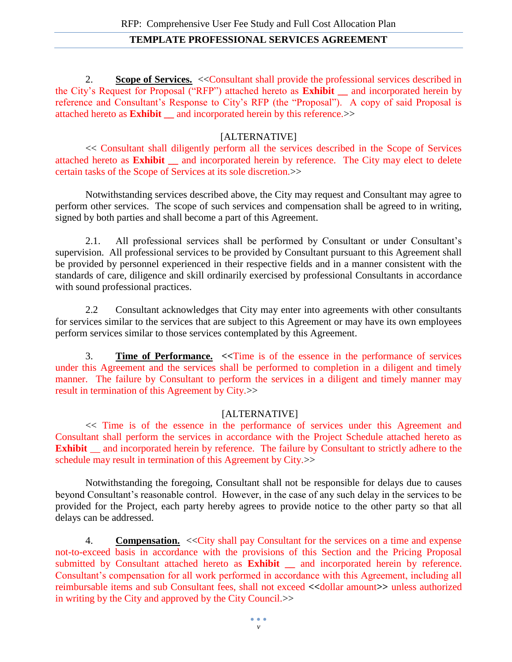2. **Scope of Services.** <<Consultant shall provide the professional services described in the City's Request for Proposal ("RFP") attached hereto as **Exhibit \_\_** and incorporated herein by reference and Consultant's Response to City's RFP (the "Proposal"). A copy of said Proposal is attached hereto as **Exhibit \_\_** and incorporated herein by this reference.>>

#### [ALTERNATIVE]

<< Consultant shall diligently perform all the services described in the Scope of Services attached hereto as **Exhibit \_\_** and incorporated herein by reference. The City may elect to delete certain tasks of the Scope of Services at its sole discretion.>>

Notwithstanding services described above, the City may request and Consultant may agree to perform other services. The scope of such services and compensation shall be agreed to in writing, signed by both parties and shall become a part of this Agreement.

2.1. All professional services shall be performed by Consultant or under Consultant's supervision. All professional services to be provided by Consultant pursuant to this Agreement shall be provided by personnel experienced in their respective fields and in a manner consistent with the standards of care, diligence and skill ordinarily exercised by professional Consultants in accordance with sound professional practices.

2.2 Consultant acknowledges that City may enter into agreements with other consultants for services similar to the services that are subject to this Agreement or may have its own employees perform services similar to those services contemplated by this Agreement.

3. **Time of Performance. <<**Time is of the essence in the performance of services under this Agreement and the services shall be performed to completion in a diligent and timely manner. The failure by Consultant to perform the services in a diligent and timely manner may result in termination of this Agreement by City.>>

#### [ALTERNATIVE]

<< Time is of the essence in the performance of services under this Agreement and Consultant shall perform the services in accordance with the Project Schedule attached hereto as **Exhibit** \_\_ and incorporated herein by reference. The failure by Consultant to strictly adhere to the schedule may result in termination of this Agreement by City.>>

Notwithstanding the foregoing, Consultant shall not be responsible for delays due to causes beyond Consultant's reasonable control. However, in the case of any such delay in the services to be provided for the Project, each party hereby agrees to provide notice to the other party so that all delays can be addressed.

4. **Compensation.** << City shall pay Consultant for the services on a time and expense not-to-exceed basis in accordance with the provisions of this Section and the Pricing Proposal submitted by Consultant attached hereto as **Exhibit \_\_** and incorporated herein by reference. Consultant's compensation for all work performed in accordance with this Agreement, including all reimbursable items and sub Consultant fees, shall not exceed **<<**dollar amount**>>** unless authorized in writing by the City and approved by the City Council.>>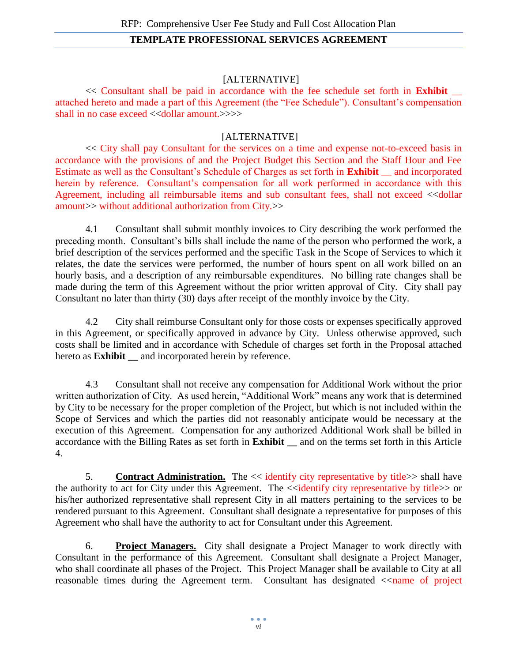#### [ALTERNATIVE]

<< Consultant shall be paid in accordance with the fee schedule set forth in **Exhibit** \_\_ attached hereto and made a part of this Agreement (the "Fee Schedule"). Consultant's compensation shall in no case exceed << dollar amount.>>>>

#### [ALTERNATIVE]

<< City shall pay Consultant for the services on a time and expense not-to-exceed basis in accordance with the provisions of and the Project Budget this Section and the Staff Hour and Fee Estimate as well as the Consultant's Schedule of Charges as set forth in **Exhibit** \_\_ and incorporated herein by reference. Consultant's compensation for all work performed in accordance with this Agreement, including all reimbursable items and sub consultant fees, shall not exceed <<dollar amount>> without additional authorization from City.>>

4.1 Consultant shall submit monthly invoices to City describing the work performed the preceding month. Consultant's bills shall include the name of the person who performed the work, a brief description of the services performed and the specific Task in the Scope of Services to which it relates, the date the services were performed, the number of hours spent on all work billed on an hourly basis, and a description of any reimbursable expenditures. No billing rate changes shall be made during the term of this Agreement without the prior written approval of City. City shall pay Consultant no later than thirty (30) days after receipt of the monthly invoice by the City.

4.2 City shall reimburse Consultant only for those costs or expenses specifically approved in this Agreement, or specifically approved in advance by City. Unless otherwise approved, such costs shall be limited and in accordance with Schedule of charges set forth in the Proposal attached hereto as **Exhibit** \_\_ and incorporated herein by reference.

4.3 Consultant shall not receive any compensation for Additional Work without the prior written authorization of City. As used herein, "Additional Work" means any work that is determined by City to be necessary for the proper completion of the Project, but which is not included within the Scope of Services and which the parties did not reasonably anticipate would be necessary at the execution of this Agreement. Compensation for any authorized Additional Work shall be billed in accordance with the Billing Rates as set forth in **Exhibit \_\_** and on the terms set forth in this Article 4.

5. **Contract Administration.** The << identify city representative by title>> shall have the authority to act for City under this Agreement. The  $\le$  dentify city representative by title  $\ge$  or his/her authorized representative shall represent City in all matters pertaining to the services to be rendered pursuant to this Agreement. Consultant shall designate a representative for purposes of this Agreement who shall have the authority to act for Consultant under this Agreement.

6. **Project Managers.** City shall designate a Project Manager to work directly with Consultant in the performance of this Agreement. Consultant shall designate a Project Manager, who shall coordinate all phases of the Project. This Project Manager shall be available to City at all reasonable times during the Agreement term. Consultant has designated  $\le$ name of project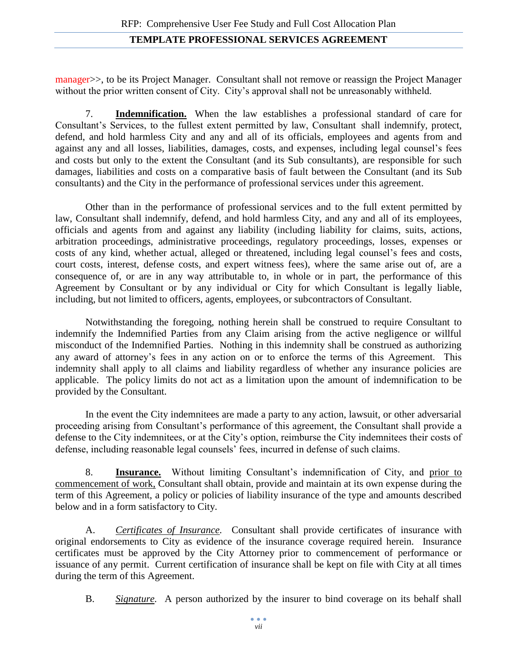manager>>, to be its Project Manager. Consultant shall not remove or reassign the Project Manager without the prior written consent of City. City's approval shall not be unreasonably withheld.

7. **Indemnification.** When the law establishes a professional standard of care for Consultant's Services, to the fullest extent permitted by law, Consultant shall indemnify, protect, defend, and hold harmless City and any and all of its officials, employees and agents from and against any and all losses, liabilities, damages, costs, and expenses, including legal counsel's fees and costs but only to the extent the Consultant (and its Sub consultants), are responsible for such damages, liabilities and costs on a comparative basis of fault between the Consultant (and its Sub consultants) and the City in the performance of professional services under this agreement.

Other than in the performance of professional services and to the full extent permitted by law, Consultant shall indemnify, defend, and hold harmless City, and any and all of its employees, officials and agents from and against any liability (including liability for claims, suits, actions, arbitration proceedings, administrative proceedings, regulatory proceedings, losses, expenses or costs of any kind, whether actual, alleged or threatened, including legal counsel's fees and costs, court costs, interest, defense costs, and expert witness fees), where the same arise out of, are a consequence of, or are in any way attributable to, in whole or in part, the performance of this Agreement by Consultant or by any individual or City for which Consultant is legally liable, including, but not limited to officers, agents, employees, or subcontractors of Consultant.

Notwithstanding the foregoing, nothing herein shall be construed to require Consultant to indemnify the Indemnified Parties from any Claim arising from the active negligence or willful misconduct of the Indemnified Parties. Nothing in this indemnity shall be construed as authorizing any award of attorney's fees in any action on or to enforce the terms of this Agreement. This indemnity shall apply to all claims and liability regardless of whether any insurance policies are applicable. The policy limits do not act as a limitation upon the amount of indemnification to be provided by the Consultant.

In the event the City indemnitees are made a party to any action, lawsuit, or other adversarial proceeding arising from Consultant's performance of this agreement, the Consultant shall provide a defense to the City indemnitees, or at the City's option, reimburse the City indemnitees their costs of defense, including reasonable legal counsels' fees, incurred in defense of such claims.

8. **Insurance.** Without limiting Consultant's indemnification of City, and prior to commencement of work, Consultant shall obtain, provide and maintain at its own expense during the term of this Agreement, a policy or policies of liability insurance of the type and amounts described below and in a form satisfactory to City.

A. *Certificates of Insurance.* Consultant shall provide certificates of insurance with original endorsements to City as evidence of the insurance coverage required herein. Insurance certificates must be approved by the City Attorney prior to commencement of performance or issuance of any permit. Current certification of insurance shall be kept on file with City at all times during the term of this Agreement.

B. *Signature.* A person authorized by the insurer to bind coverage on its behalf shall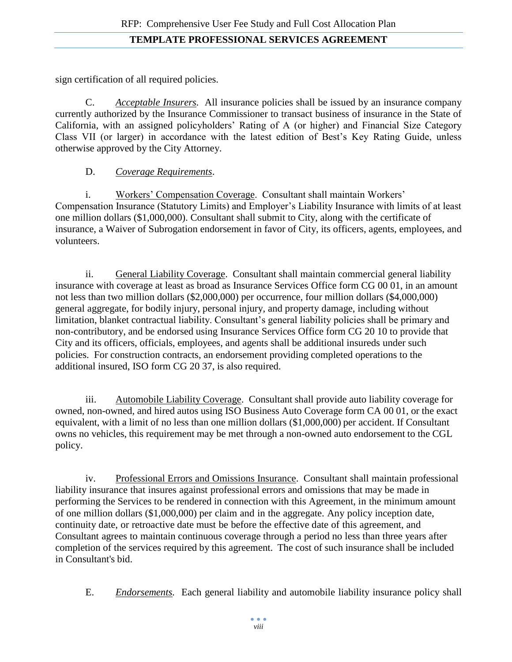sign certification of all required policies.

C. *Acceptable Insurers.* All insurance policies shall be issued by an insurance company currently authorized by the Insurance Commissioner to transact business of insurance in the State of California, with an assigned policyholders' Rating of A (or higher) and Financial Size Category Class VII (or larger) in accordance with the latest edition of Best's Key Rating Guide, unless otherwise approved by the City Attorney.

#### D. *Coverage Requirements*.

i. Workers' Compensation Coverage. Consultant shall maintain Workers' Compensation Insurance (Statutory Limits) and Employer's Liability Insurance with limits of at least one million dollars (\$1,000,000). Consultant shall submit to City, along with the certificate of insurance, a Waiver of Subrogation endorsement in favor of City, its officers, agents, employees, and volunteers.

ii. General Liability Coverage. Consultant shall maintain commercial general liability insurance with coverage at least as broad as Insurance Services Office form CG 00 01, in an amount not less than two million dollars (\$2,000,000) per occurrence, four million dollars (\$4,000,000) general aggregate, for bodily injury, personal injury, and property damage, including without limitation, blanket contractual liability. Consultant's general liability policies shall be primary and non-contributory, and be endorsed using Insurance Services Office form CG 20 10 to provide that City and its officers, officials, employees, and agents shall be additional insureds under such policies. For construction contracts, an endorsement providing completed operations to the additional insured, ISO form CG 20 37, is also required.

iii. Automobile Liability Coverage. Consultant shall provide auto liability coverage for owned, non-owned, and hired autos using ISO Business Auto Coverage form CA 00 01, or the exact equivalent, with a limit of no less than one million dollars (\$1,000,000) per accident. If Consultant owns no vehicles, this requirement may be met through a non-owned auto endorsement to the CGL policy.

iv. Professional Errors and Omissions Insurance. Consultant shall maintain professional liability insurance that insures against professional errors and omissions that may be made in performing the Services to be rendered in connection with this Agreement, in the minimum amount of one million dollars (\$1,000,000) per claim and in the aggregate. Any policy inception date, continuity date, or retroactive date must be before the effective date of this agreement, and Consultant agrees to maintain continuous coverage through a period no less than three years after completion of the services required by this agreement. The cost of such insurance shall be included in Consultant's bid.

E. *Endorsements.* Each general liability and automobile liability insurance policy shall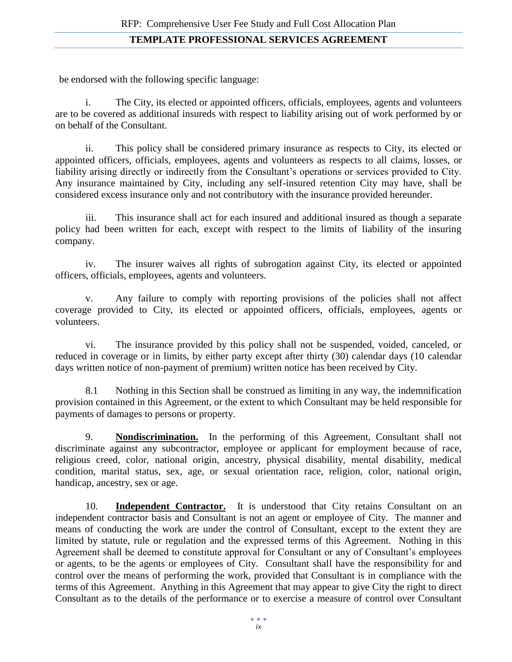be endorsed with the following specific language:

i. The City, its elected or appointed officers, officials, employees, agents and volunteers are to be covered as additional insureds with respect to liability arising out of work performed by or on behalf of the Consultant.

ii. This policy shall be considered primary insurance as respects to City, its elected or appointed officers, officials, employees, agents and volunteers as respects to all claims, losses, or liability arising directly or indirectly from the Consultant's operations or services provided to City. Any insurance maintained by City, including any self-insured retention City may have, shall be considered excess insurance only and not contributory with the insurance provided hereunder.

iii. This insurance shall act for each insured and additional insured as though a separate policy had been written for each, except with respect to the limits of liability of the insuring company.

iv. The insurer waives all rights of subrogation against City, its elected or appointed officers, officials, employees, agents and volunteers.

v. Any failure to comply with reporting provisions of the policies shall not affect coverage provided to City, its elected or appointed officers, officials, employees, agents or volunteers.

vi. The insurance provided by this policy shall not be suspended, voided, canceled, or reduced in coverage or in limits, by either party except after thirty (30) calendar days (10 calendar days written notice of non-payment of premium) written notice has been received by City.

8.1 Nothing in this Section shall be construed as limiting in any way, the indemnification provision contained in this Agreement, or the extent to which Consultant may be held responsible for payments of damages to persons or property.

9. **Nondiscrimination.** In the performing of this Agreement, Consultant shall not discriminate against any subcontractor, employee or applicant for employment because of race, religious creed, color, national origin, ancestry, physical disability, mental disability, medical condition, marital status, sex, age, or sexual orientation race, religion, color, national origin, handicap, ancestry, sex or age.

10. **Independent Contractor.** It is understood that City retains Consultant on an independent contractor basis and Consultant is not an agent or employee of City. The manner and means of conducting the work are under the control of Consultant, except to the extent they are limited by statute, rule or regulation and the expressed terms of this Agreement. Nothing in this Agreement shall be deemed to constitute approval for Consultant or any of Consultant's employees or agents, to be the agents or employees of City. Consultant shall have the responsibility for and control over the means of performing the work, provided that Consultant is in compliance with the terms of this Agreement. Anything in this Agreement that may appear to give City the right to direct Consultant as to the details of the performance or to exercise a measure of control over Consultant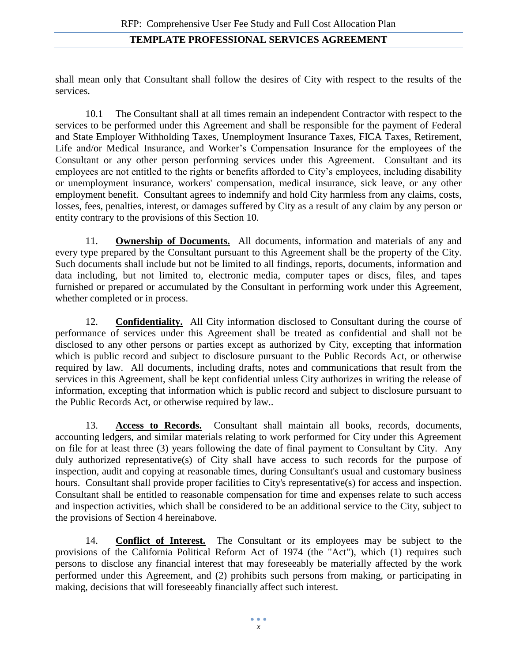shall mean only that Consultant shall follow the desires of City with respect to the results of the services.

10.1 The Consultant shall at all times remain an independent Contractor with respect to the services to be performed under this Agreement and shall be responsible for the payment of Federal and State Employer Withholding Taxes, Unemployment Insurance Taxes, FICA Taxes, Retirement, Life and/or Medical Insurance, and Worker's Compensation Insurance for the employees of the Consultant or any other person performing services under this Agreement. Consultant and its employees are not entitled to the rights or benefits afforded to City's employees, including disability or unemployment insurance, workers' compensation, medical insurance, sick leave, or any other employment benefit. Consultant agrees to indemnify and hold City harmless from any claims, costs, losses, fees, penalties, interest, or damages suffered by City as a result of any claim by any person or entity contrary to the provisions of this Section 10.

11. **Ownership of Documents.** All documents, information and materials of any and every type prepared by the Consultant pursuant to this Agreement shall be the property of the City. Such documents shall include but not be limited to all findings, reports, documents, information and data including, but not limited to, electronic media, computer tapes or discs, files, and tapes furnished or prepared or accumulated by the Consultant in performing work under this Agreement, whether completed or in process.

12. **Confidentiality.** All City information disclosed to Consultant during the course of performance of services under this Agreement shall be treated as confidential and shall not be disclosed to any other persons or parties except as authorized by City, excepting that information which is public record and subject to disclosure pursuant to the Public Records Act, or otherwise required by law. All documents, including drafts, notes and communications that result from the services in this Agreement, shall be kept confidential unless City authorizes in writing the release of information, excepting that information which is public record and subject to disclosure pursuant to the Public Records Act, or otherwise required by law..

13. **Access to Records.** Consultant shall maintain all books, records, documents, accounting ledgers, and similar materials relating to work performed for City under this Agreement on file for at least three (3) years following the date of final payment to Consultant by City. Any duly authorized representative(s) of City shall have access to such records for the purpose of inspection, audit and copying at reasonable times, during Consultant's usual and customary business hours. Consultant shall provide proper facilities to City's representative(s) for access and inspection. Consultant shall be entitled to reasonable compensation for time and expenses relate to such access and inspection activities, which shall be considered to be an additional service to the City, subject to the provisions of Section 4 hereinabove.

14. **Conflict of Interest.** The Consultant or its employees may be subject to the provisions of the California Political Reform Act of 1974 (the "Act"), which (1) requires such persons to disclose any financial interest that may foreseeably be materially affected by the work performed under this Agreement, and (2) prohibits such persons from making, or participating in making, decisions that will foreseeably financially affect such interest.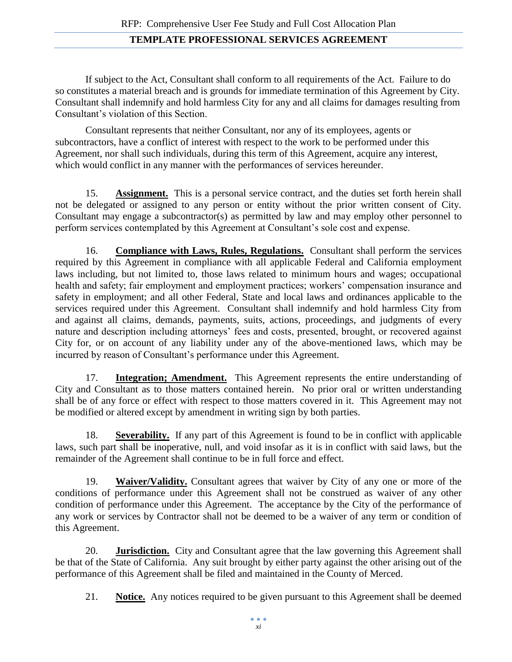If subject to the Act, Consultant shall conform to all requirements of the Act. Failure to do so constitutes a material breach and is grounds for immediate termination of this Agreement by City. Consultant shall indemnify and hold harmless City for any and all claims for damages resulting from Consultant's violation of this Section.

Consultant represents that neither Consultant, nor any of its employees, agents or subcontractors, have a conflict of interest with respect to the work to be performed under this Agreement, nor shall such individuals, during this term of this Agreement, acquire any interest, which would conflict in any manner with the performances of services hereunder.

15. **Assignment.** This is a personal service contract, and the duties set forth herein shall not be delegated or assigned to any person or entity without the prior written consent of City. Consultant may engage a subcontractor(s) as permitted by law and may employ other personnel to perform services contemplated by this Agreement at Consultant's sole cost and expense.

16. **Compliance with Laws, Rules, Regulations.** Consultant shall perform the services required by this Agreement in compliance with all applicable Federal and California employment laws including, but not limited to, those laws related to minimum hours and wages; occupational health and safety; fair employment and employment practices; workers' compensation insurance and safety in employment; and all other Federal, State and local laws and ordinances applicable to the services required under this Agreement. Consultant shall indemnify and hold harmless City from and against all claims, demands, payments, suits, actions, proceedings, and judgments of every nature and description including attorneys' fees and costs, presented, brought, or recovered against City for, or on account of any liability under any of the above-mentioned laws, which may be incurred by reason of Consultant's performance under this Agreement.

17. **Integration; Amendment.** This Agreement represents the entire understanding of City and Consultant as to those matters contained herein. No prior oral or written understanding shall be of any force or effect with respect to those matters covered in it. This Agreement may not be modified or altered except by amendment in writing sign by both parties.

18. **Severability.** If any part of this Agreement is found to be in conflict with applicable laws, such part shall be inoperative, null, and void insofar as it is in conflict with said laws, but the remainder of the Agreement shall continue to be in full force and effect.

19. **Waiver/Validity.** Consultant agrees that waiver by City of any one or more of the conditions of performance under this Agreement shall not be construed as waiver of any other condition of performance under this Agreement. The acceptance by the City of the performance of any work or services by Contractor shall not be deemed to be a waiver of any term or condition of this Agreement.

20. **Jurisdiction.** City and Consultant agree that the law governing this Agreement shall be that of the State of California. Any suit brought by either party against the other arising out of the performance of this Agreement shall be filed and maintained in the County of Merced.

21. **Notice.** Any notices required to be given pursuant to this Agreement shall be deemed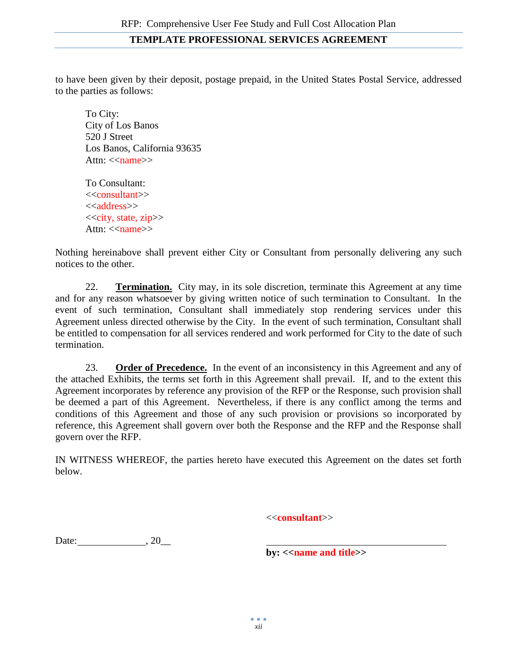to have been given by their deposit, postage prepaid, in the United States Postal Service, addressed to the parties as follows:

To City: City of Los Banos 520 J Street Los Banos, California 93635 Attn:  $\langle$ name $\rangle$ 

To Consultant: <<consultant>> <<address>>  $<<$ city, state, zip $>>$ Attn: <<name>>

Nothing hereinabove shall prevent either City or Consultant from personally delivering any such notices to the other.

22. **Termination.** City may, in its sole discretion, terminate this Agreement at any time and for any reason whatsoever by giving written notice of such termination to Consultant. In the event of such termination, Consultant shall immediately stop rendering services under this Agreement unless directed otherwise by the City. In the event of such termination, Consultant shall be entitled to compensation for all services rendered and work performed for City to the date of such termination.

23. **Order of Precedence.** In the event of an inconsistency in this Agreement and any of the attached Exhibits, the terms set forth in this Agreement shall prevail. If, and to the extent this Agreement incorporates by reference any provision of the RFP or the Response, such provision shall be deemed a part of this Agreement. Nevertheless, if there is any conflict among the terms and conditions of this Agreement and those of any such provision or provisions so incorporated by reference, this Agreement shall govern over both the Response and the RFP and the Response shall govern over the RFP.

IN WITNESS WHEREOF, the parties hereto have executed this Agreement on the dates set forth below.

<<**consultant**>>

Date: , 20\_\_

**by:** << **name and title**>>